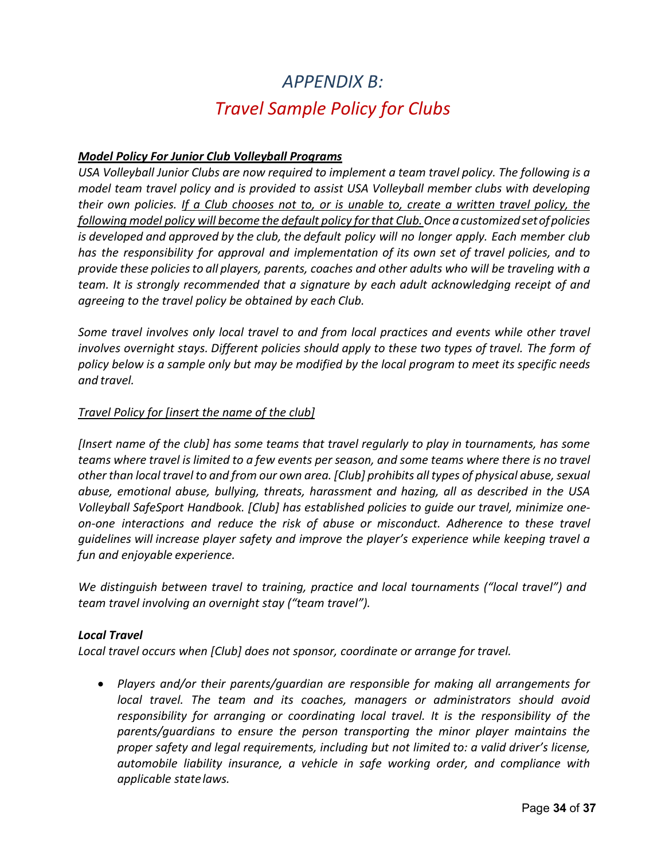# *APPENDIX B: Travel Sample Policy for Clubs*

# *Model Policy For Junior Club Volleyball Programs*

*USA Volleyball Junior Clubs are now required to implement a team travel policy. The following is a model team travel policy and is provided to assist USA Volleyball member clubs with developing their own policies. If a Club chooses not to, or is unable to, create a written travel policy, the following model policy will become the default policy for that Club.Once acustomizedsetofpolicies is developed and approved by the club, the default policy will no longer apply. Each member club has the responsibility for approval and implementation of its own set of travel policies, and to provide these policiesto all players, parents, coaches and other adults who will be traveling with a team. It is strongly recommended that a signature by each adult acknowledging receipt of and agreeing to the travel policy be obtained by each Club.*

*Some travel involves only local travel to and from local practices and events while other travel involves overnight stays. Different policies should apply to these two types of travel. The form of policy below is a sample only but may be modified by the local program to meet its specific needs and travel.*

#### *Travel Policy for [insert the name of the club]*

*[Insert name of the club] has some teams that travel regularly to play in tournaments, has some teams where travel is limited to a few events per season, and some teams where there is no travel other than local travel to and from our own area. [Club] prohibits all types of physical abuse, sexual abuse, emotional abuse, bullying, threats, harassment and hazing, all as described in the USA Volleyball SafeSport Handbook. [Club] has established policies to guide our travel, minimize oneon-one interactions and reduce the risk of abuse or misconduct. Adherence to these travel guidelines will increase player safety and improve the player's experience while keeping travel a fun and enjoyable experience.*

*We distinguish between travel to training, practice and local tournaments ("local travel") and team travel involving an overnight stay ("team travel").*

#### *Local Travel*

*Local travel occurs when [Club] does not sponsor, coordinate or arrange for travel.*

• *Players and/or their parents/guardian are responsible for making all arrangements for local travel. The team and its coaches, managers or administrators should avoid responsibility for arranging or coordinating local travel. It is the responsibility of the parents/guardians to ensure the person transporting the minor player maintains the proper safety and legal requirements, including but not limited to: a valid driver's license, automobile liability insurance, a vehicle in safe working order, and compliance with applicable statelaws.*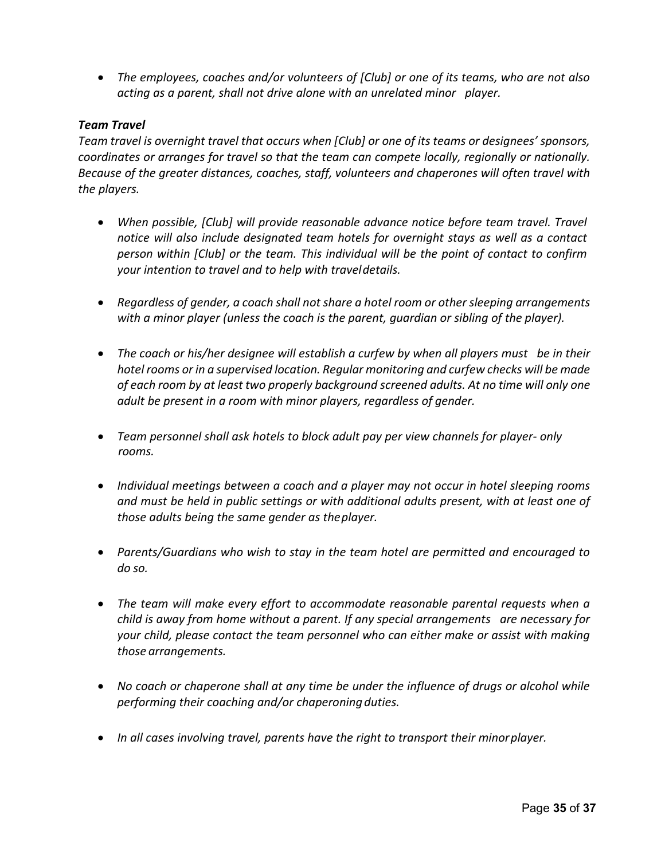• *The employees, coaches and/or volunteers of [Club] or one of its teams, who are not also acting as a parent, shall not drive alone with an unrelated minor player.*

### *Team Travel*

*Team travel is overnight travel that occurs when [Club] or one of its teams or designees' sponsors, coordinates or arranges for travel so that the team can compete locally, regionally or nationally. Because of the greater distances, coaches, staff, volunteers and chaperones will often travel with the players.*

- *When possible, [Club] will provide reasonable advance notice before team travel. Travel notice will also include designated team hotels for overnight stays as well as a contact person within [Club] or the team. This individual will be the point of contact to confirm your intention to travel and to help with traveldetails.*
- *Regardless of gender, a coach shall not share a hotel room or other sleeping arrangements with a minor player (unless the coach is the parent, guardian or sibling of the player).*
- *The coach or his/her designee will establish a curfew by when all players must be in their hotel rooms or in a supervised location. Regular monitoring and curfew checks will be made of each room by at least two properly background screened adults. At no time will only one adult be present in a room with minor players, regardless of gender.*
- *Team personnel shall ask hotels to block adult pay per view channels for player- only rooms.*
- *Individual meetings between a coach and a player may not occur in hotel sleeping rooms and must be held in public settings or with additional adults present, with at least one of those adults being the same gender as theplayer.*
- *Parents/Guardians who wish to stay in the team hotel are permitted and encouraged to do so.*
- *The team will make every effort to accommodate reasonable parental requests when a child is away from home without a parent. If any special arrangements are necessary for your child, please contact the team personnel who can either make or assist with making those arrangements.*
- *No coach or chaperone shall at any time be under the influence of drugs or alcohol while performing their coaching and/or chaperoningduties.*
- *In all cases involving travel, parents have the right to transport their minorplayer.*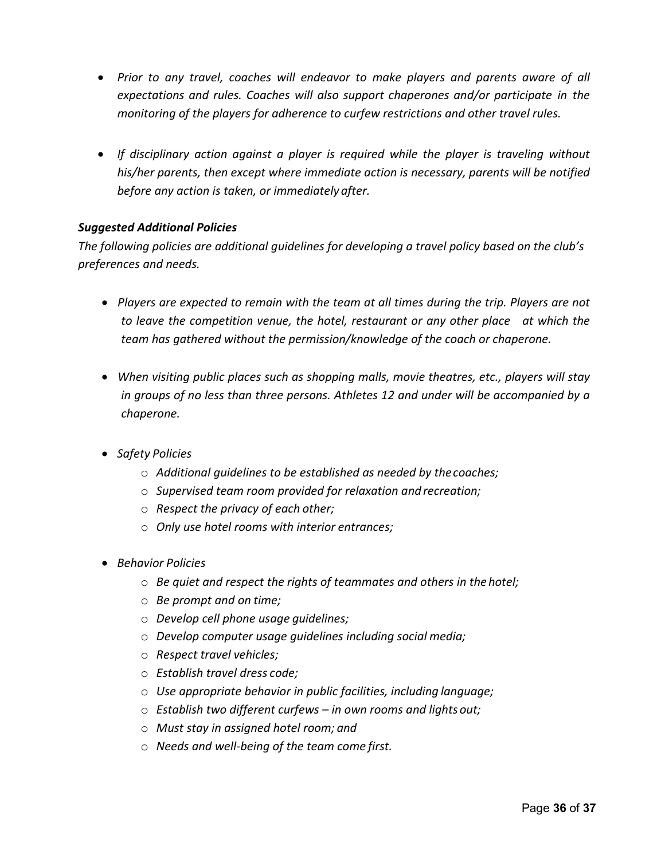- *Prior to any travel, coaches will endeavor to make players and parents aware of all expectations and rules. Coaches will also support chaperones and/or participate in the monitoring of the players for adherence to curfew restrictions and other travel rules.*
- *If disciplinary action against a player is required while the player is traveling without his/her parents, then except where immediate action is necessary, parents will be notified before any action is taken, or immediately after.*

## *Suggested Additional Policies*

*The following policies are additional guidelines for developing a travel policy based on the club's preferences and needs.*

- *Players are expected to remain with the team at all times during the trip. Players are not to leave the competition venue, the hotel, restaurant or any other place at which the team has gathered without the permission/knowledge of the coach or chaperone.*
- *When visiting public places such as shopping malls, movie theatres, etc., players will stay in groups of no less than three persons. Athletes 12 and under will be accompanied by a chaperone.*
- *Safety Policies*
	- o *Additional guidelines to be established as needed by thecoaches;*
	- o *Supervised team room provided for relaxation and recreation;*
	- o *Respect the privacy of each other;*
	- o *Only use hotel rooms with interior entrances;*
- *Behavior Policies*
	- o *Be quiet and respect the rights of teammates and others in the hotel;*
	- o *Be prompt and on time;*
	- o *Develop cell phone usage guidelines;*
	- o *Develop computer usage guidelines including social media;*
	- o *Respect travel vehicles;*
	- o *Establish travel dress code;*
	- o *Use appropriate behavior in public facilities, including language;*
	- o *Establish two different curfews – in own rooms and lights out;*
	- o *Must stay in assigned hotel room; and*
	- o *Needs and well-being of the team come first.*